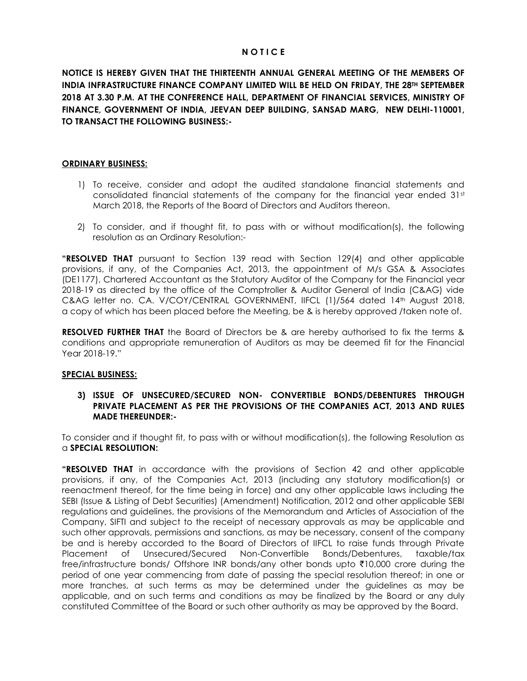# **N O T I C E**

**NOTICE IS HEREBY GIVEN THAT THE THIRTEENTH ANNUAL GENERAL MEETING OF THE MEMBERS OF INDIA INFRASTRUCTURE FINANCE COMPANY LIMITED WILL BE HELD ON FRIDAY, THE 28TH SEPTEMBER 2018 AT 3.30 P.M. AT THE CONFERENCE HALL, DEPARTMENT OF FINANCIAL SERVICES, MINISTRY OF FINANCE, GOVERNMENT OF INDIA, JEEVAN DEEP BUILDING, SANSAD MARG, NEW DELHI-110001, TO TRANSACT THE FOLLOWING BUSINESS:-**

## **ORDINARY BUSINESS:**

- 1) To receive, consider and adopt the audited standalone financial statements and consolidated financial statements of the company for the financial year ended  $31<sup>st</sup>$ March 2018, the Reports of the Board of Directors and Auditors thereon.
- 2) To consider, and if thought fit, to pass with or without modification(s), the following resolution as an Ordinary Resolution:-

**"RESOLVED THAT** pursuant to Section 139 read with Section 129(4) and other applicable provisions, if any, of the Companies Act, 2013, the appointment of M/s GSA & Associates (DE1177), Chartered Accountant as the Statutory Auditor of the Company for the Financial year 2018-19 as directed by the office of the Comptroller & Auditor General of India (C&AG) vide C&AG letter no. CA. V/COY/CENTRAL GOVERNMENT, IIFCL (1)/564 dated 14th August 2018, a copy of which has been placed before the Meeting, be & is hereby approved /taken note of.

**RESOLVED FURTHER THAT** the Board of Directors be & are hereby authorised to fix the terms & conditions and appropriate remuneration of Auditors as may be deemed fit for the Financial Year 2018-19."

#### **SPECIAL BUSINESS:**

# **3) ISSUE OF UNSECURED/SECURED NON- CONVERTIBLE BONDS/DEBENTURES THROUGH PRIVATE PLACEMENT AS PER THE PROVISIONS OF THE COMPANIES ACT, 2013 AND RULES MADE THEREUNDER:-**

To consider and if thought fit, to pass with or without modification(s), the following Resolution as a **SPECIAL RESOLUTION:**

**"RESOLVED THAT** in accordance with the provisions of Section 42 and other applicable provisions, if any, of the Companies Act, 2013 (including any statutory modification(s) or reenactment thereof, for the time being in force) and any other applicable laws including the SEBI (Issue & Listing of Debt Securities) (Amendment) Notification, 2012 and other applicable SEBI regulations and guidelines, the provisions of the Memorandum and Articles of Association of the Company, SIFTI and subject to the receipt of necessary approvals as may be applicable and such other approvals, permissions and sanctions, as may be necessary, consent of the company be and is hereby accorded to the Board of Directors of IIFCL to raise funds through Private Placement of Unsecured/Secured Non-Convertible Bonds/Debentures, taxable/tax free/infrastructure bonds/ Offshore INR bonds/any other bonds upto ₹10,000 crore during the period of one year commencing from date of passing the special resolution thereof; in one or more tranches, at such terms as may be determined under the guidelines as may be applicable, and on such terms and conditions as may be finalized by the Board or any duly constituted Committee of the Board or such other authority as may be approved by the Board.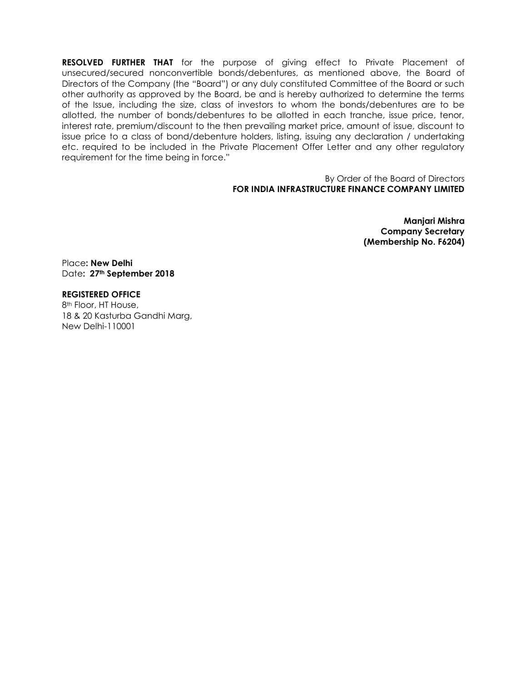**RESOLVED FURTHER THAT** for the purpose of giving effect to Private Placement of unsecured/secured nonconvertible bonds/debentures, as mentioned above, the Board of Directors of the Company (the "Board") or any duly constituted Committee of the Board or such other authority as approved by the Board, be and is hereby authorized to determine the terms of the Issue, including the size, class of investors to whom the bonds/debentures are to be allotted, the number of bonds/debentures to be allotted in each tranche, issue price, tenor, interest rate, premium/discount to the then prevailing market price, amount of issue, discount to issue price to a class of bond/debenture holders, listing, issuing any declaration / undertaking etc. required to be included in the Private Placement Offer Letter and any other regulatory requirement for the time being in force."

> By Order of the Board of Directors **FOR INDIA INFRASTRUCTURE FINANCE COMPANY LIMITED**

> > **Manjari Mishra Company Secretary (Membership No. F6204)**

Place**: New Delhi** Date**: 27th September 2018**

# **REGISTERED OFFICE**

8th Floor, HT House, 18 & 20 Kasturba Gandhi Marg, New Delhi-110001